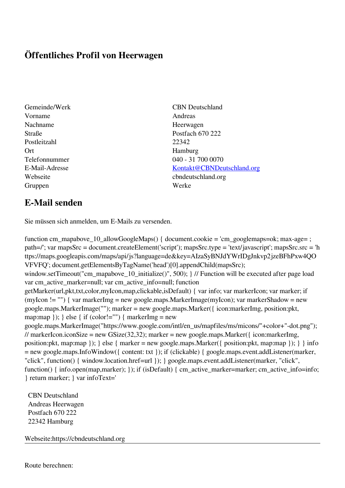## **Öffentliches Profil von Heerwagen**

- Gemeinde/Werk CBN Deutschland Vorname Andreas Nachname Heerwagen Postleitzahl 22342 Ort Hamburg Gruppen Werke
- Straße Postfach 670 222 Telefonnummer 040 - 31 700 0070 E-Mail-Adresse [Kontakt@CBNDeutschland.org](mailto:Kontakt@CBNDeutschland.org) Webseite cbndeutschland.org

## **E-Mail senden**

Sie müssen sich anmelden, um E-Mails zu versenden.

function cm\_mapabove\_10\_allowGoogleMaps() { document.cookie = 'cm\_googlemaps=ok; max-age= ; path=/'; var mapsSrc = document.createElement('script'); mapsSrc.type = 'text/javascript'; mapsSrc.src = 'h ttps://maps.googleapis.com/maps/api/js?language=de&key=AIzaSyBNJdYWrIDgJnkvp2jzeBFhPxw4QO VFVFQ'; document.getElementsByTagName('head')[0].appendChild(mapsSrc); window.setTimeout("cm\_mapabove\_10\_initialize()", 500); } // Function will be executed after page load var cm\_active\_marker=null; var cm\_active\_info=null; function getMarker(url,pkt,txt,color,myIcon,map,clickable,isDefault) { var info; var markerIcon; var marker; if (myIcon != "") { var markerImg = new google.maps.MarkerImage(myIcon); var markerShadow = new google.maps.MarkerImage(""); marker = new google.maps.Marker({ icon:markerImg, position:pkt, map:map  $\}$ ;  $\}$  else  $\{$  if (color!="")  $\{$  markerImg = new google.maps.MarkerImage("https://www.google.com/intl/en\_us/mapfiles/ms/micons/"+color+"-dot.png"); // markerIcon.iconSize = new GSize(32,32); marker = new google.maps.Marker({ $i$ con:markerImg, position:pkt, map:map }); } else { marker = new google.maps.Marker({ position:pkt, map:map }); } } info = new google.maps.InfoWindow({ content: txt }); if (clickable) { google.maps.event.addListener(marker, "click", function() { window.location.href=url }); } google.maps.event.addListener(marker, "click", function() { info.open(map,marker); }); if (isDefault) { cm\_active\_marker=marker; cm\_active\_info=info; } return marker; } var infoText='

 CBN Deutschland Andreas Heerwagen Postfach 670 222 22342 Hamburg

Webseite:https://cbndeutschland.org